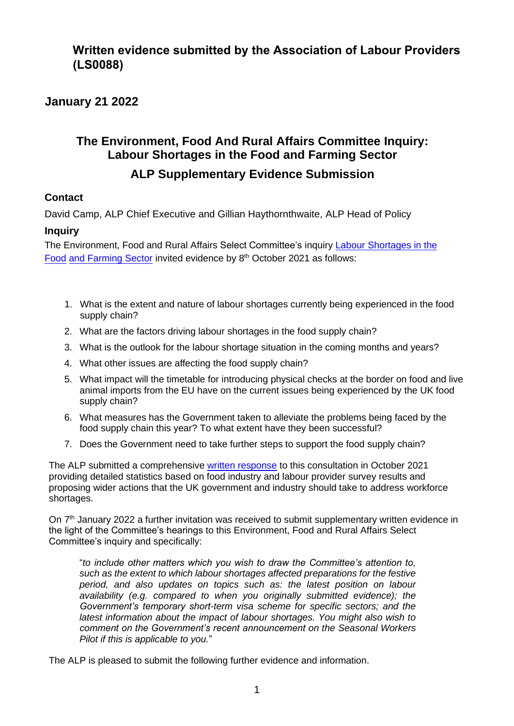## **Written evidence submitted by the Association of Labour Providers (LS0088)**

### **January 21 2022**

# **The Environment, Food And Rural Affairs Committee Inquiry: Labour Shortages in the Food and Farming Sector**

## **ALP Supplementary Evidence Submission**

### **Contact**

David Camp, ALP Chief Executive and Gillian Haythornthwaite, ALP Head of Policy

### **Inquiry**

The Environment, Food and Rural Affairs Select Committee's inquiry Labour Shortages in the Food and Farming Sector invited evidence by 8<sup>th</sup> October 2021 as follows:

- 1. What is the extent and nature of labour shortages currently being experienced in the food supply chain?
- 2. What are the factors driving labour shortages in the food supply chain?
- 3. What is the outlook for the labour shortage situation in the coming months and years?
- 4. What other issues are affecting the food supply chain?
- 5. What impact will the timetable for introducing physical checks at the border on food and live animal imports from the EU have on the current issues being experienced by the UK food supply chain?
- 6. What measures has the Government taken to alleviate the problems being faced by the food supply chain this year? To what extent have they been successful?
- 7. Does the Government need to take further steps to support the food supply chain?

The ALP submitted a comprehensive [written response](file:///C:/Users/David%20Camp/Downloads/EFRA-Inquiry-Labour-Shortages-in-the-Food-and-Farming-Sector-ALP-evidence-October-2021.pdf) to this consultation in October 2021 providing detailed statistics based on food industry and labour provider survey results and proposing wider actions that the UK government and industry should take to address workforce shortages.

On 7<sup>th</sup> January 2022 a further invitation was received to submit supplementary written evidence in the light of the Committee's hearings to this Environment, Food and Rural Affairs Select Committee's inquiry and specifically:

"*to include other matters which you wish to draw the Committee's attention to, such as the extent to which labour shortages affected preparations for the festive period, and also updates on topics such as: the latest position on labour availability (e.g. compared to when you originally submitted evidence); the Government's temporary short-term visa scheme for specific sectors; and the latest information about the impact of labour shortages. You might also wish to comment on the Government's recent announcement on the Seasonal Workers Pilot if this is applicable to you.*"

The ALP is pleased to submit the following further evidence and information.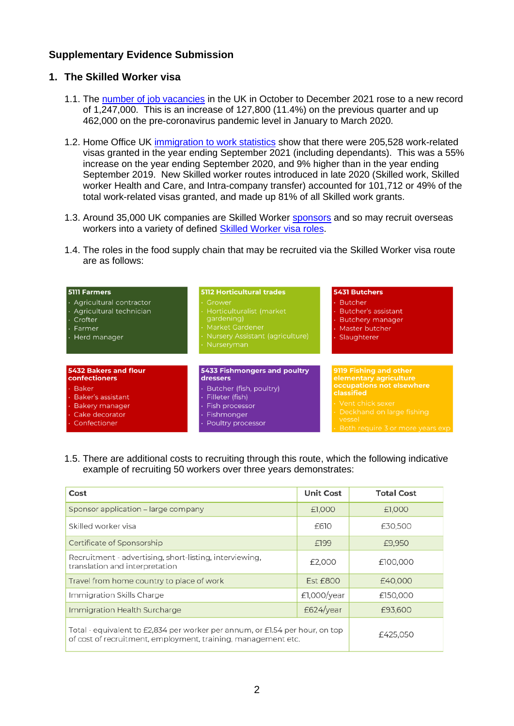### **Supplementary Evidence Submission**

#### **1. The Skilled Worker visa**

- 1.1. The [number of job vacancies](https://www.ons.gov.uk/employmentandlabourmarket/peopleinwork/employmentandemployeetypes/bulletins/jobsandvacanciesintheuk/january2022) in the UK in October to December 2021 rose to a new record of 1,247,000. This is an increase of 127,800 (11.4%) on the previous quarter and up 462,000 on the pre-coronavirus pandemic level in January to March 2020.
- 1.2. Home Office UK [immigration to work statistics](https://www.gov.uk/government/statistics/immigration-statistics-year-ending-september-2021/why-do-people-come-to-the-uk-to-work) show that there were 205,528 work-related visas granted in the year ending September 2021 (including dependants). This was a 55% increase on the year ending September 2020, and 9% higher than in the year ending September 2019. New Skilled worker routes introduced in late 2020 (Skilled work, Skilled worker Health and Care, and Intra-company transfer) accounted for 101,712 or 49% of the total work-related visas granted, and made up 81% of all Skilled work grants.
- 1.3. Around 35,000 UK companies are Skilled Worker [sponsors](https://www.gov.uk/government/publications/register-of-licensed-sponsors-workers) and so may recruit overseas workers into a variety of defined [Skilled Worker visa roles.](https://www.gov.uk/government/publications/skilled-worker-visa-eligible-occupations/skilled-worker-visa-eligible-occupations-and-codes)
- 1.4. The roles in the food supply chain that may be recruited via the Skilled Worker visa route are as follows:

| <b>5111 Farmers</b><br>· Agricultural contractor<br>· Agricultural technician<br>· Crofter<br>• Farmer<br>· Herd manager                  | <b>5112 Horticultural trades</b><br>• Grower<br>Horticulturalist (market<br>gardening)<br><b>Market Gardener</b><br>· Nursery Assistant (agriculture)<br>· Nurseryman | 5431 Butchers<br><b>Butcher</b><br><b>Butcher's assistant</b><br><b>Butchery manager</b><br>Master butcher<br>Slaughterer                                                                      |
|-------------------------------------------------------------------------------------------------------------------------------------------|-----------------------------------------------------------------------------------------------------------------------------------------------------------------------|------------------------------------------------------------------------------------------------------------------------------------------------------------------------------------------------|
| <b>5432 Bakers and flour</b><br>confectioners<br>· Baker<br>· Baker's assistant<br>· Bakery manager<br>· Cake decorator<br>· Confectioner | 5433 Fishmongers and poultry<br>dressers<br>Butcher (fish, poultry)<br>· Filleter (fish)<br>Fish processor<br>Fishmonger<br>Poultry processor                         | 9119 Fishing and other<br>elementary agriculture<br>occupations not elsewhere<br>classified<br>· Vent chick sexer<br>· Deckhand on large fishing<br>vessel<br>Both require 3 or more years exp |

1.5. There are additional costs to recruiting through this route, which the following indicative example of recruiting 50 workers over three years demonstrates:

| Cost                                                                                                                                          | <b>Unit Cost</b> | <b>Total Cost</b> |
|-----------------------------------------------------------------------------------------------------------------------------------------------|------------------|-------------------|
| Sponsor application – large company                                                                                                           | £1,000           | £1,000            |
| Skilled worker visa                                                                                                                           | £610             | £30,500           |
| Certificate of Sponsorship                                                                                                                    | £199             | £9,950            |
| Recruitment - advertising, short-listing, interviewing,<br>translation and interpretation                                                     | £2,000           | £100,000          |
| Travel from home country to place of work                                                                                                     | <b>Est £800</b>  | £40,000           |
| Immigration Skills Charge                                                                                                                     | £1,000/year      | £150,000          |
| Immigration Health Surcharge                                                                                                                  | £624/year        | £93,600           |
| Total - equivalent to £2,834 per worker per annum, or £1.54 per hour, on top<br>of cost of recruitment, employment, training, management etc. | £425,050         |                   |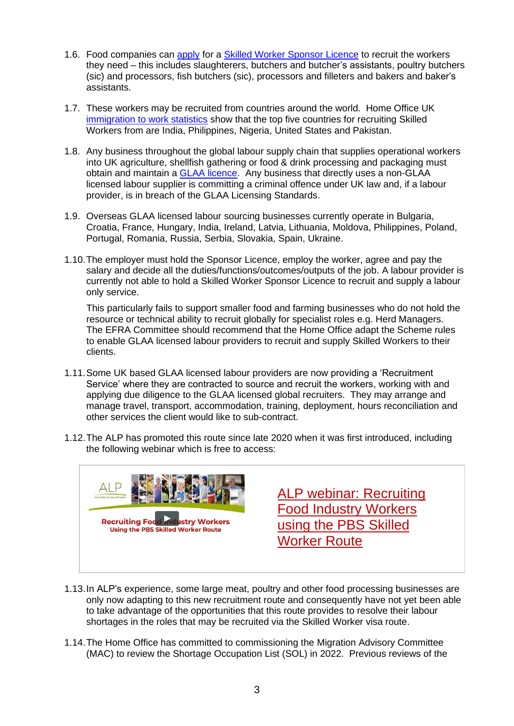- 1.6. Food companies can apply for a [Skilled Worker Sponsor Licence](https://www.gov.uk/government/publications/workers-and-temporary-workers-sponsor-a-skilled-worker) to recruit the workers they need – this incl[udes sla](https://www.gov.uk/apply-sponsor-licence)ughterers, butchers and butcher's assistants, poultry butchers (sic) and processors, fish butchers (sic), processors and filleters and bakers and baker's assistants.
- 1.7. These workers may be recruited from countries around the world. Home Office UK [immigration to work statistics](https://www.gov.uk/government/statistics/immigration-statistics-year-ending-september-2021/why-do-people-come-to-the-uk-to-work) show that the top five countries for recruiting Skilled Workers from are India, Philippines, Nigeria, United States and Pakistan.
- 1.8. Any business throughout the global labour supply chain that supplies operational workers into UK agriculture, shellfish gathering or food & drink processing and packaging must obtain and maintain a **GLAA licence**. Any business that directly uses a non-GLAA licensed labour supplier is committing a criminal offence under UK law and, if a labour provider, is in breach of the GLAA Licensing Standards.
- 1.9. Overseas GLAA licensed labour sourcing businesses currently operate in Bulgaria, Croatia, France, Hungary, India, Ireland, Latvia, Lithuania, Moldova, Philippines, Poland, Portugal, Romania, Russia, Serbia, Slovakia, Spain, Ukraine.
- 1.10.The employer must hold the Sponsor Licence, employ the worker, agree and pay the salary and decide all the duties/functions/outcomes/outputs of the job. A labour provider is currently not able to hold a Skilled Worker Sponsor Licence to recruit and supply a labour only service.

This particularly fails to support smaller food and farming businesses who do not hold the resource or technical ability to recruit globally for specialist roles e.g. Herd Managers. The EFRA Committee should recommend that the Home Office adapt the Scheme rules to enable GLAA licensed labour providers to recruit and supply Skilled Workers to their clients.

- 1.11.Some UK based GLAA licensed labour providers are now providing a 'Recruitment Service' where they are contracted to source and recruit the workers, working with and applying due diligence to the GLAA licensed global recruiters. They may arrange and manage travel, transport, accommodation, training, deployment, hours reconciliation and other services the client would like to sub-contract.
- 1.12.The ALP has promoted this route since late 2020 when it was first introduced, including the following webinar which is free to access:



[ALP webinar: Recruiting](https://vimeo.com/642715083/22b04e77ac)  [Food Industry Workers](https://vimeo.com/642715083/22b04e77ac)  [using the PBS Skilled](https://vimeo.com/642715083/22b04e77ac)  [Worker Route](https://vimeo.com/642715083/22b04e77ac)

- 1.13.In ALP's experience, some large meat, poultry and other food processing businesses are only now adapting to this new recruitment route and consequently have not yet been able to take advantage of the opportunities that this route provides to resolve their labour shortages in the roles that may be recruited via the Skilled Worker visa route.
- 1.14.The Home Office has committed to commissioning the Migration Advisory Committee (MAC) to review the Shortage Occupation List (SOL) in 2022. Previous reviews of the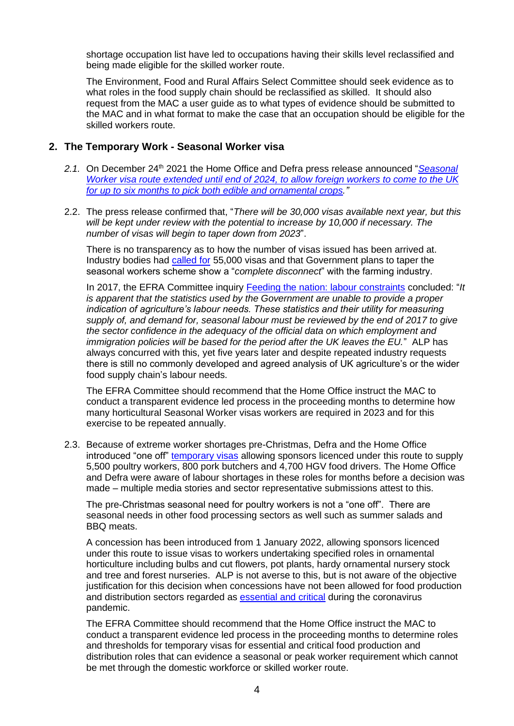shortage occupation list have led to occupations having their skills level reclassified and being made eligible for the skilled worker route.

The Environment, Food and Rural Affairs Select Committee should seek evidence as to what roles in the food supply chain should be reclassified as skilled. It should also request from the MAC a user guide as to what types of evidence should be submitted to the MAC and in what format to make the case that an occupation should be eligible for the skilled workers route.

#### **2. The Temporary Work - Seasonal Worker visa**

- 2.1. On December 24<sup>th</sup> 2021 the Home Office and Defra press release announced "*Seasonal [Worker visa route extended until end of 2024, to allow foreign workers to come to the UK](https://www.gov.uk/government/news/industry-given-certainty-around-seasonal-workers-but-told-to-focus-on-domestic-workforce)  [for up to six months to pick both edible and ornamental crops.](https://www.gov.uk/government/news/industry-given-certainty-around-seasonal-workers-but-told-to-focus-on-domestic-workforce)"*
- 2.2. The press release confirmed that, "*There will be 30,000 visas available next year, but this will be kept under review with the potential to increase by 10,000 if necessary. The number of visas will begin to taper down from 2023*".

There is no transparency as to how the number of visas issued has been arrived at. Industry bodies had [called for](https://www.fwi.co.uk/news/eu-referendum/nfu-scotland-blasts-plans-to-taper-seasonal-visa-scheme) 55,000 visas and that Government plans to taper the seasonal workers scheme show a "*complete disconnect*" with the farming industry.

In 2017, the EFRA Committee inquiry [Feeding the nation: labour constraints](https://publications.parliament.uk/pa/cm201617/cmselect/cmenvfru/1009/100905.htm) concluded: "*It is apparent that the statistics used by the Government are unable to provide a proper indication of agriculture's labour needs. These statistics and their utility for measuring supply of, and demand for, seasonal labour must be reviewed by the end of 2017 to give the sector confidence in the adequacy of the official data on which employment and immigration policies will be based for the period after the UK leaves the EU.*" ALP has always concurred with this, yet five years later and despite repeated industry requests there is still no commonly developed and agreed analysis of UK agriculture's or the wider food supply chain's labour needs.

The EFRA Committee should recommend that the Home Office instruct the MAC to conduct a transparent evidence led process in the proceeding months to determine how many horticultural Seasonal Worker visas workers are required in 2023 and for this exercise to be repeated annually.

2.3. Because of extreme worker shortages pre-Christmas, Defra and the Home Office introduced "one off" [temporary visas](https://www.gov.uk/guidance/recruit-a-poultry-worker-or-hgv-food-driver-with-a-temporary-visa) allowing sponsors licenced under this route to supply 5,500 poultry workers, 800 pork butchers and 4,700 HGV food drivers. The Home Office and Defra were aware of labour shortages in these roles for months before a decision was made – multiple media stories and sector representative submissions attest to this.

The pre-Christmas seasonal need for poultry workers is not a "one off". There are seasonal needs in other food processing sectors as well such as summer salads and BBQ meats.

A concession has been introduced from 1 January 2022, allowing sponsors licenced under this route to issue visas to workers undertaking specified roles in ornamental horticulture including bulbs and cut flowers, pot plants, hardy ornamental nursery stock and tree and forest nurseries. ALP is not averse to this, but is not aware of the objective justification for this decision when concessions have not been allowed for food production and distribution sectors regarded as [essential and critical](https://www.gov.uk/government/publications/coronavirus-covid-19-maintaining-educational-provision/guidance-for-schools-colleges-and-local-authorities-on-maintaining-educational-provision) during the coronavirus pandemic.

The EFRA Committee should recommend that the Home Office instruct the MAC to conduct a transparent evidence led process in the proceeding months to determine roles and thresholds for temporary visas for essential and critical food production and distribution roles that can evidence a seasonal or peak worker requirement which cannot be met through the domestic workforce or skilled worker route.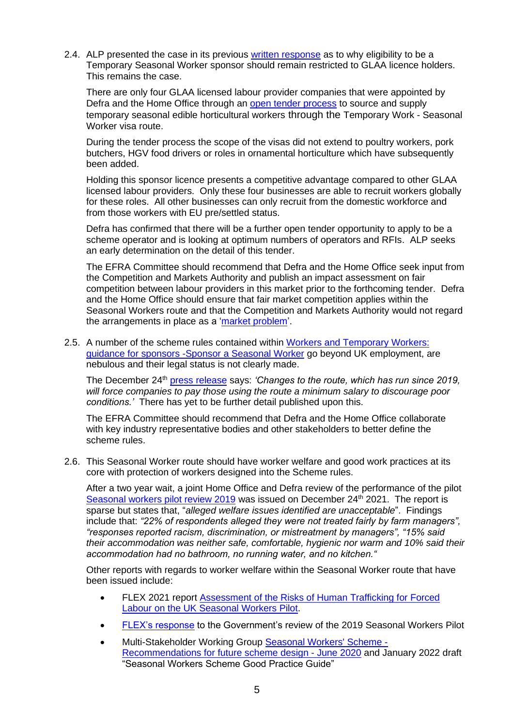2.4. ALP presented the case in its previous [written response](file:///C:/Users/David%20Camp/Downloads/EFRA-Inquiry-Labour-Shortages-in-the-Food-and-Farming-Sector-ALP-evidence-October-2021.pdf) as to why eligibility to be a Temporary Seasonal Worker sponsor should remain restricted to GLAA licence holders. This remains the case.

There are only four GLAA licensed labour provider companies that were appointed by Defra and the Home Office through an [open tender](https://www.gov.uk/government/publications/seasonal-workers-pilot-request-for-information/seasonal-workers-pilot-request-for-information) process to source and supply temporary seasonal edible horticultural workers through the Temporary Work - Seasonal Worker visa route.

During the tender process the scope of the visas did not extend to poultry workers, pork butchers, HGV food drivers or roles in ornamental horticulture which have subsequently been added.

Holding this sponsor licence presents a competitive advantage compared to other GLAA licensed labour providers. Only these four businesses are able to recruit workers globally for these roles. All other businesses can only recruit from the domestic workforce and from those workers with EU pre/settled status.

Defra has confirmed that there will be a further open tender opportunity to apply to be a scheme operator and is looking at optimum numbers of operators and RFIs. ALP seeks an early determination on the detail of this tender.

The EFRA Committee should recommend that Defra and the Home Office seek input from the Competition and Markets Authority and publish an impact assessment on fair competition between labour providers in this market prior to the forthcoming tender. Defra and the Home Office should ensure that fair market competition applies within the Seasonal Workers route and that the Competition and Markets Authority would not regard the arrangements in place as a ['market problem'](https://alliancehr-my.sharepoint.com/personal/david_alliancehr_co_uk/Documents/Alliance%20Documents/Clients/ALP/ALP%20Communication/ALP%20Consultation/the%20Competition%20and%20Markets%20Authority).

2.5. A number of the scheme rules contained within Workers and Temporary Workers: [guidance for sponsors -Sponsor a Seasonal Worker](https://www.gov.uk/government/publications/workers-and-temporary-workers-guidance-for-sponsors-sponsor-a-seasonal-worker) go beyond UK employment, are nebulous and their legal status is not clearly made.

The December 24<sup>th</sup> [press release](https://www.gov.uk/government/news/industry-given-certainty-around-seasonal-workers-but-told-to-focus-on-domestic-workforce) says: *'Changes to the route, which has run since 2019, will force companies to pay those using the route a minimum salary to discourage poor conditions.'* There has yet to be further detail published upon this.

The EFRA Committee should recommend that Defra and the Home Office collaborate with key industry representative bodies and other stakeholders to better define the scheme rules.

2.6. This Seasonal Worker route should have worker welfare and good work practices at its core with protection of workers designed into the Scheme rules.

After a two year wait, a joint Home Office and Defra review of the performance of the pilot [Seasonal workers pilot review 2019](https://www.gov.uk/government/publications/seasonal-workers-pilot-review/seasonal-workers-pilot-review-2019) was issued on December  $24<sup>th</sup>$  2021. The report is sparse but states that, "*alleged welfare issues identified are unacceptable*". Findings include that: *"22% of respondents alleged they were not treated fairly by farm managers", "responses reported racism, discrimination, or mistreatment by managers", "15% said their accommodation was neither safe, comfortable, hygienic nor warm and 10% said their accommodation had no bathroom, no running water, and no kitchen."*

Other reports with regards to worker welfare within the Seasonal Worker route that have been issued include:

- FLEX 2021 report [Assessment of the Risks of Human Trafficking for Forced](https://labourexploitation.org/publications/assessment-risks-human-trafficking-forced-labour-uk-seasonal-workers-pilot#overlay-context=publications/assessment-risks-human-trafficking-forced-labour-uk-seasonal-workers-pilot)  [Labour on the UK Seasonal Workers Pilot.](https://labourexploitation.org/publications/assessment-risks-human-trafficking-forced-labour-uk-seasonal-workers-pilot#overlay-context=publications/assessment-risks-human-trafficking-forced-labour-uk-seasonal-workers-pilot)
- [FLEX's response](https://labourexploitation.org/publications/flex-response-government%E2%80%99s-review-first-year-seasonal-workers-pilot) to the Government's review of the 2019 Seasonal Workers Pilot
- Multi-Stakeholder Working Group [Seasonal Workers' Scheme -](https://labourproviders.org.uk/wp-content/uploads/2020/07/Seasonal-Workers-Scheme-MSWG-Recommendations-June-2020.pdf) [Recommendations for future scheme design -](https://labourproviders.org.uk/wp-content/uploads/2020/07/Seasonal-Workers-Scheme-MSWG-Recommendations-June-2020.pdf) June 2020 and January 2022 draft "Seasonal Workers Scheme Good Practice Guide"